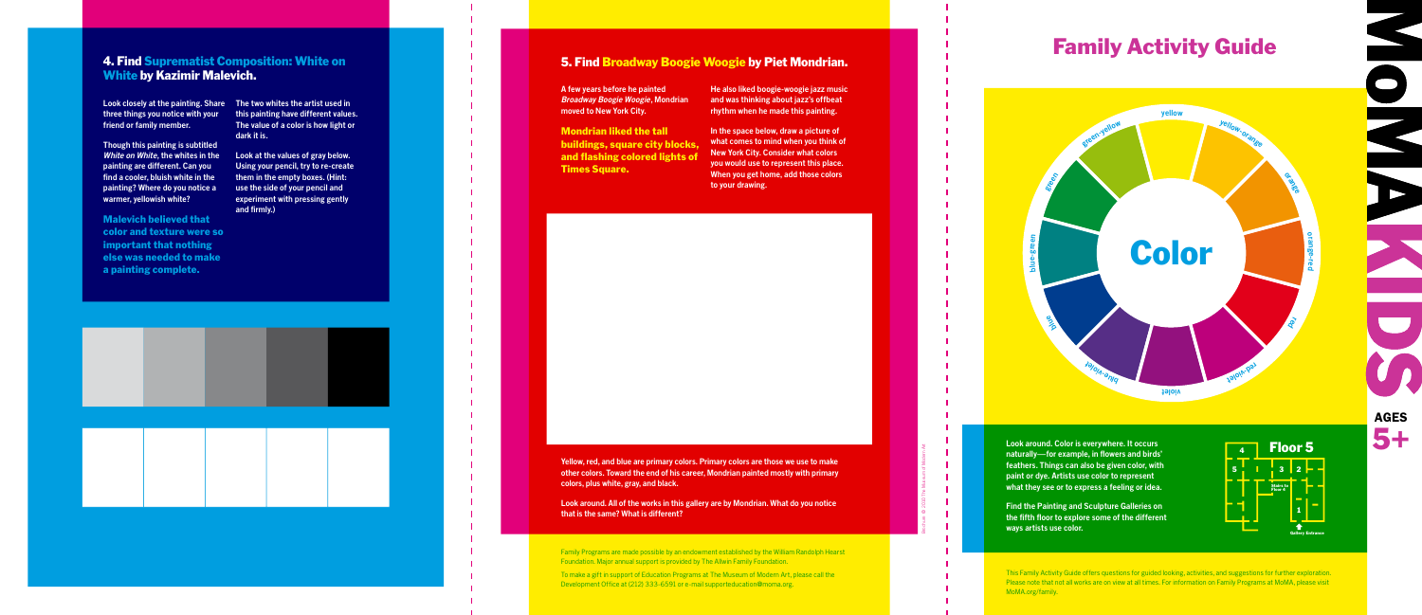## Family Activity Guide



**Look closely at the painting. Share The two whites the artist used in three things you notice with your friend or family member.**

**Though this painting is subtitled White on White, the whites in the painting are different. Can you find a cooler, bluish white in the painting? Where do you notice a warmer, yellowish white?** 

Malevich believed that color and texture were so important that nothing else was needed to make a painting complete.

**this painting have different values. The value of a color is how light or dark it is.** 

**Look at the values of gray below. Using your pencil, try to re-create them in the empty boxes. (Hint: use the side of your pencil and experiment with pressing gently and firmly.)**



#### 4. Find Suprematist Composition: White on White by Kazimir Malevich.

**Look around. Color is everywhere. It occurs naturally—for example, in flowers and birds' feathers. Things can also be given color, with paint or dye. Artists use color to represent what they see or to express a feeling or idea.**

**Find the Painting and Sculpture Galleries on the fifth floor to explore some of the different ways artists use color.**



This Family Activity Guide offers questions for guided looking, activities, and suggestions for further exploration. Please note that not all works are on view at all times. For information on Family Programs at MoMA, please visit MoMA.org/family.

Brochure C 2010 The Museum of Modern Art



**Yellow, red, and blue are primary colors. Primary colors are those we use to make** 

**other colors. Toward the end of his career, Mondrian painted mostly with primary colors, plus white, gray, and black.** 

**Look around. All of the works in this gallery are by Mondrian. What do you notice that is the same? What is different?**

Family Programs are made possible by an endowment established by the William Randolph Hearst Foundation. Major annual support is provided by The Allwin Family Foundation.

To make a gift in support of Education Programs at The Museum of Modern Art, please call the Development Office at (212) 333-6591 or e-mail supporteducation@moma.org.

**A few years before he painted Broadway Boogie Woogie, Mondrian moved to New York City.**

Mondrian liked the tall buildings, square city blocks, and flashing colored lights of Times Square.

**He also liked boogie-woogie jazz music and was thinking about jazz's offbeat rhythm when he made this painting.**

**In the space below, draw a picture of what comes to mind when you think of New York City. Consider what colors you would use to represent this place. When you get home, add those colors to your drawing.**

### 5. Find Broadway Boogie Woogie by Piet Mondrian.